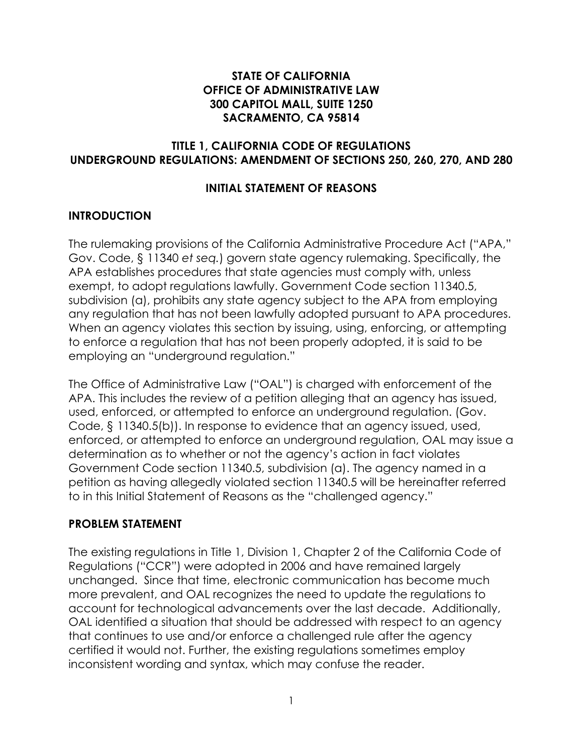#### **STATE OF CALIFORNIA OFFICE OF ADMINISTRATIVE LAW 300 CAPITOL MALL, SUITE 1250 SACRAMENTO, CA 95814**

#### **TITLE 1, CALIFORNIA CODE OF REGULATIONS UNDERGROUND REGULATIONS: AMENDMENT OF SECTIONS 250, 260, 270, AND 280**

#### **INITIAL STATEMENT OF REASONS**

## **INTRODUCTION**

The rulemaking provisions of the California Administrative Procedure Act ("APA," Gov. Code, § 11340 *et seq.*) govern state agency rulemaking. Specifically, the APA establishes procedures that state agencies must comply with, unless exempt, to adopt regulations lawfully. Government Code section 11340.5, subdivision (a), prohibits any state agency subject to the APA from employing any regulation that has not been lawfully adopted pursuant to APA procedures. When an agency violates this section by issuing, using, enforcing, or attempting to enforce a regulation that has not been properly adopted, it is said to be employing an "underground regulation."

The Office of Administrative Law ("OAL") is charged with enforcement of the APA. This includes the review of a petition alleging that an agency has issued, used, enforced, or attempted to enforce an underground regulation. (Gov. Code, § 11340.5(b)). In response to evidence that an agency issued, used, enforced, or attempted to enforce an underground regulation, OAL may issue a determination as to whether or not the agency's action in fact violates Government Code section 11340.5, subdivision (a). The agency named in a petition as having allegedly violated section 11340.5 will be hereinafter referred to in this Initial Statement of Reasons as the "challenged agency."

#### **PROBLEM STATEMENT**

The existing regulations in Title 1, Division 1, Chapter 2 of the California Code of Regulations ("CCR") were adopted in 2006 and have remained largely unchanged. Since that time, electronic communication has become much more prevalent, and OAL recognizes the need to update the regulations to account for technological advancements over the last decade. Additionally, OAL identified a situation that should be addressed with respect to an agency that continues to use and/or enforce a challenged rule after the agency certified it would not. Further, the existing regulations sometimes employ inconsistent wording and syntax, which may confuse the reader.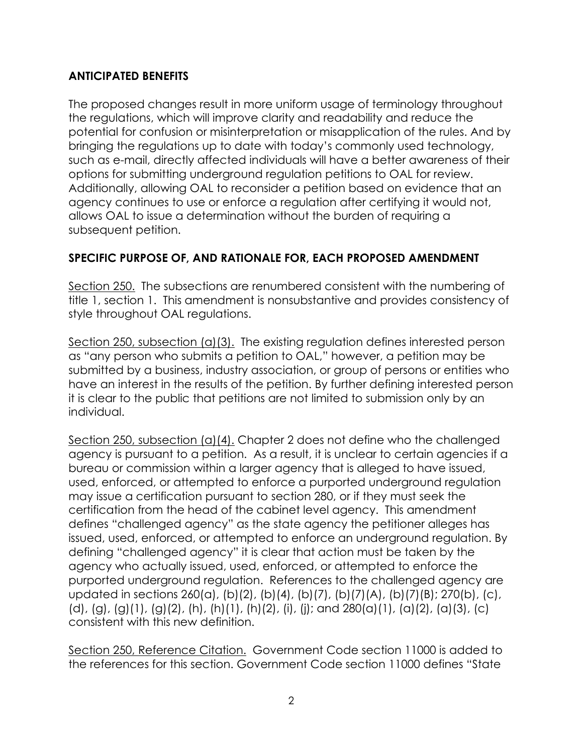## **ANTICIPATED BENEFITS**

The proposed changes result in more uniform usage of terminology throughout the regulations, which will improve clarity and readability and reduce the potential for confusion or misinterpretation or misapplication of the rules. And by bringing the regulations up to date with today's commonly used technology, such as e-mail, directly affected individuals will have a better awareness of their options for submitting underground regulation petitions to OAL for review. Additionally, allowing OAL to reconsider a petition based on evidence that an agency continues to use or enforce a regulation after certifying it would not, allows OAL to issue a determination without the burden of requiring a subsequent petition.

# **SPECIFIC PURPOSE OF, AND RATIONALE FOR, EACH PROPOSED AMENDMENT**

Section 250. The subsections are renumbered consistent with the numbering of title 1, section 1. This amendment is nonsubstantive and provides consistency of style throughout OAL regulations.

Section 250, subsection (a)(3). The existing regulation defines interested person as "any person who submits a petition to OAL," however, a petition may be submitted by a business, industry association, or group of persons or entities who have an interest in the results of the petition. By further defining interested person it is clear to the public that petitions are not limited to submission only by an individual.

Section 250, subsection (a)(4). Chapter 2 does not define who the challenged agency is pursuant to a petition. As a result, it is unclear to certain agencies if a bureau or commission within a larger agency that is alleged to have issued, used, enforced, or attempted to enforce a purported underground regulation may issue a certification pursuant to section 280, or if they must seek the certification from the head of the cabinet level agency. This amendment defines "challenged agency" as the state agency the petitioner alleges has issued, used, enforced, or attempted to enforce an underground regulation. By defining "challenged agency" it is clear that action must be taken by the agency who actually issued, used, enforced, or attempted to enforce the purported underground regulation. References to the challenged agency are updated in sections 260(a), (b)(2), (b)(4), (b)(7), (b)(7)(A), (b)(7)(B); 270(b), (c), (d), (g), (g)(1), (g)(2), (h), (h)(1), (h)(2), (i), (j); and 280(a)(1), (a)(2), (a)(3), (c) consistent with this new definition.

Section 250, Reference Citation. Government Code section 11000 is added to the references for this section. Government Code section 11000 defines "State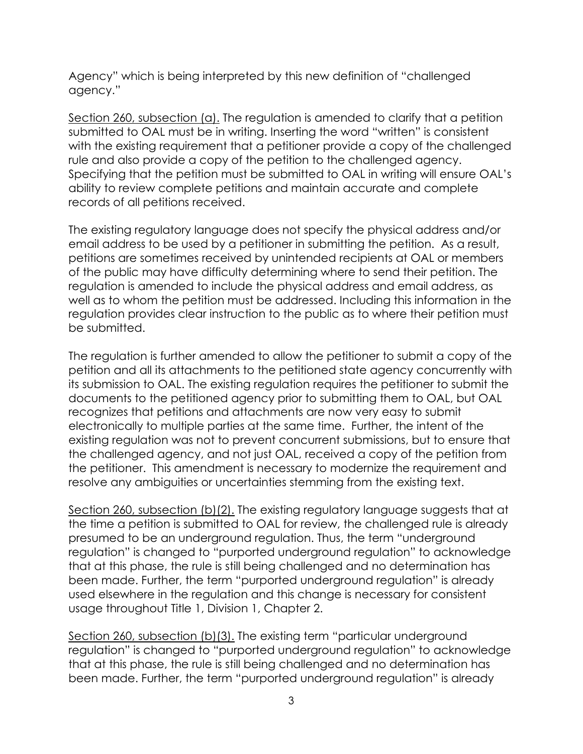Agency" which is being interpreted by this new definition of "challenged agency."

Section 260, subsection (a). The regulation is amended to clarify that a petition submitted to OAL must be in writing. Inserting the word "written" is consistent with the existing requirement that a petitioner provide a copy of the challenged rule and also provide a copy of the petition to the challenged agency. Specifying that the petition must be submitted to OAL in writing will ensure OAL's ability to review complete petitions and maintain accurate and complete records of all petitions received.

The existing regulatory language does not specify the physical address and/or email address to be used by a petitioner in submitting the petition. As a result, petitions are sometimes received by unintended recipients at OAL or members of the public may have difficulty determining where to send their petition. The regulation is amended to include the physical address and email address, as well as to whom the petition must be addressed. Including this information in the regulation provides clear instruction to the public as to where their petition must be submitted.

The regulation is further amended to allow the petitioner to submit a copy of the petition and all its attachments to the petitioned state agency concurrently with its submission to OAL. The existing regulation requires the petitioner to submit the documents to the petitioned agency prior to submitting them to OAL, but OAL recognizes that petitions and attachments are now very easy to submit electronically to multiple parties at the same time. Further, the intent of the existing regulation was not to prevent concurrent submissions, but to ensure that the challenged agency, and not just OAL, received a copy of the petition from the petitioner. This amendment is necessary to modernize the requirement and resolve any ambiguities or uncertainties stemming from the existing text.

Section 260, subsection (b)(2). The existing regulatory language suggests that at the time a petition is submitted to OAL for review, the challenged rule is already presumed to be an underground regulation. Thus, the term "underground regulation" is changed to "purported underground regulation" to acknowledge that at this phase, the rule is still being challenged and no determination has been made. Further, the term "purported underground regulation" is already used elsewhere in the regulation and this change is necessary for consistent usage throughout Title 1, Division 1, Chapter 2.

Section 260, subsection (b)(3). The existing term "particular underground regulation" is changed to "purported underground regulation" to acknowledge that at this phase, the rule is still being challenged and no determination has been made. Further, the term "purported underground regulation" is already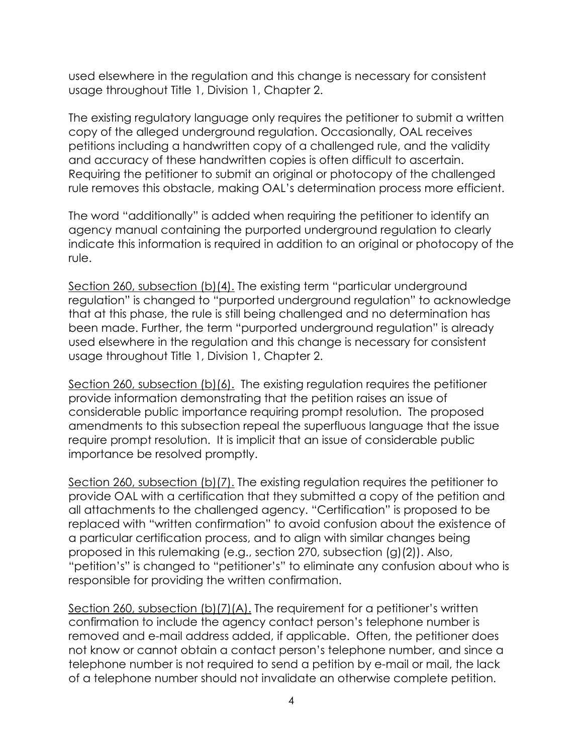used elsewhere in the regulation and this change is necessary for consistent usage throughout Title 1, Division 1, Chapter 2.

The existing regulatory language only requires the petitioner to submit a written copy of the alleged underground regulation. Occasionally, OAL receives petitions including a handwritten copy of a challenged rule, and the validity and accuracy of these handwritten copies is often difficult to ascertain. Requiring the petitioner to submit an original or photocopy of the challenged rule removes this obstacle, making OAL's determination process more efficient.

The word "additionally" is added when requiring the petitioner to identify an agency manual containing the purported underground regulation to clearly indicate this information is required in addition to an original or photocopy of the rule.

Section 260, subsection (b)(4). The existing term "particular underground regulation" is changed to "purported underground regulation" to acknowledge that at this phase, the rule is still being challenged and no determination has been made. Further, the term "purported underground regulation" is already used elsewhere in the regulation and this change is necessary for consistent usage throughout Title 1, Division 1, Chapter 2.

Section 260, subsection (b)(6). The existing regulation requires the petitioner provide information demonstrating that the petition raises an issue of considerable public importance requiring prompt resolution. The proposed amendments to this subsection repeal the superfluous language that the issue require prompt resolution. It is implicit that an issue of considerable public importance be resolved promptly.

Section 260, subsection (b)(7). The existing regulation requires the petitioner to provide OAL with a certification that they submitted a copy of the petition and all attachments to the challenged agency. "Certification" is proposed to be replaced with "written confirmation" to avoid confusion about the existence of a particular certification process, and to align with similar changes being proposed in this rulemaking (e.g., section 270, subsection (g)(2)). Also, "petition's" is changed to "petitioner's" to eliminate any confusion about who is responsible for providing the written confirmation.

Section 260, subsection (b)(7)(A). The requirement for a petitioner's written confirmation to include the agency contact person's telephone number is removed and e-mail address added, if applicable. Often, the petitioner does not know or cannot obtain a contact person's telephone number, and since a telephone number is not required to send a petition by e-mail or mail, the lack of a telephone number should not invalidate an otherwise complete petition.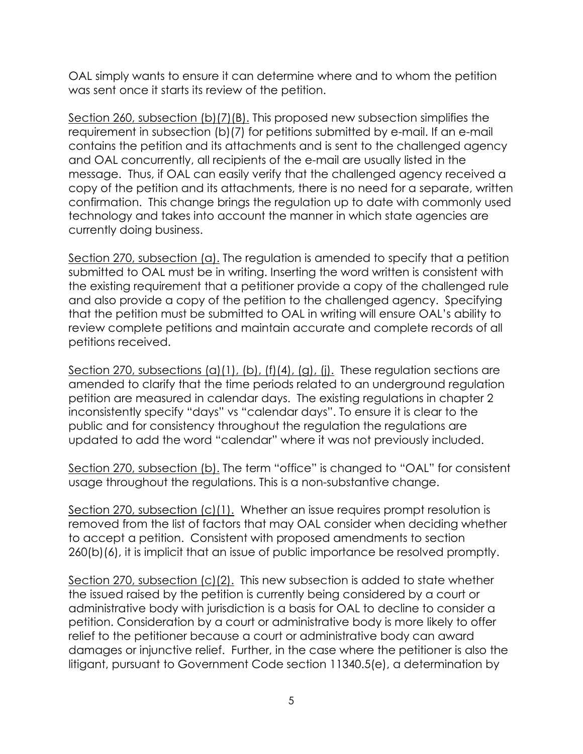OAL simply wants to ensure it can determine where and to whom the petition was sent once it starts its review of the petition.

Section 260, subsection (b)(7)(B). This proposed new subsection simplifies the requirement in subsection (b)(7) for petitions submitted by e-mail. If an e-mail contains the petition and its attachments and is sent to the challenged agency and OAL concurrently, all recipients of the e-mail are usually listed in the message. Thus, if OAL can easily verify that the challenged agency received a copy of the petition and its attachments, there is no need for a separate, written confirmation. This change brings the regulation up to date with commonly used technology and takes into account the manner in which state agencies are currently doing business.

Section 270, subsection (a). The regulation is amended to specify that a petition submitted to OAL must be in writing. Inserting the word written is consistent with the existing requirement that a petitioner provide a copy of the challenged rule and also provide a copy of the petition to the challenged agency. Specifying that the petition must be submitted to OAL in writing will ensure OAL's ability to review complete petitions and maintain accurate and complete records of all petitions received.

Section 270, subsections (a)(1), (b), (f)(4), (g), (j). These regulation sections are amended to clarify that the time periods related to an underground regulation petition are measured in calendar days. The existing regulations in chapter 2 inconsistently specify "days" vs "calendar days". To ensure it is clear to the public and for consistency throughout the regulation the regulations are updated to add the word "calendar" where it was not previously included.

Section 270, subsection (b). The term "office" is changed to "OAL" for consistent usage throughout the regulations. This is a non-substantive change.

Section 270, subsection (c)(1). Whether an issue requires prompt resolution is removed from the list of factors that may OAL consider when deciding whether to accept a petition. Consistent with proposed amendments to section 260(b)(6), it is implicit that an issue of public importance be resolved promptly.

Section 270, subsection (c)(2). This new subsection is added to state whether the issued raised by the petition is currently being considered by a court or administrative body with jurisdiction is a basis for OAL to decline to consider a petition. Consideration by a court or administrative body is more likely to offer relief to the petitioner because a court or administrative body can award damages or injunctive relief. Further, in the case where the petitioner is also the litigant, pursuant to Government Code section 11340.5(e), a determination by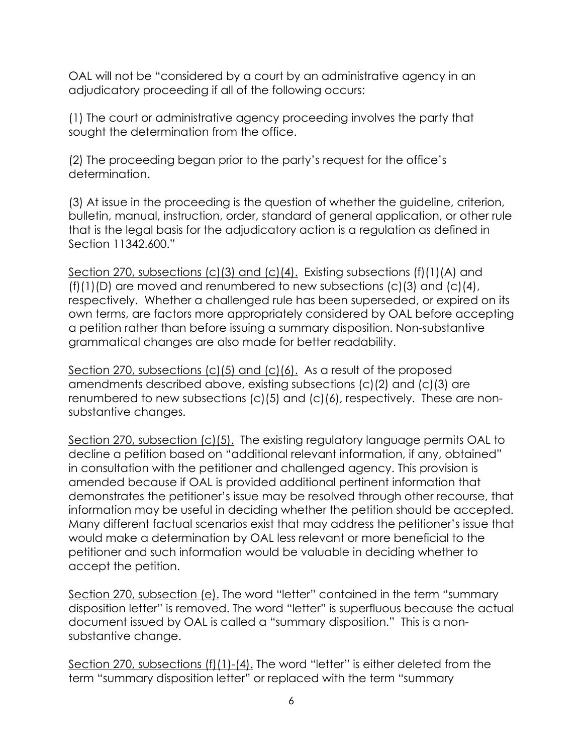OAL will not be "considered by a court by an administrative agency in an adjudicatory proceeding if all of the following occurs:

(1) The court or administrative agency proceeding involves the party that sought the determination from the office.

(2) The proceeding began prior to the party's request for the office's determination.

(3) At issue in the proceeding is the question of whether the guideline, criterion, bulletin, manual, instruction, order, standard of general application, or other rule that is the legal basis for the adjudicatory action is a regulation as defined in Section 11342.600."

Section 270, subsections (c)(3) and (c)(4). Existing subsections (f)(1)(A) and (f)(1)(D) are moved and renumbered to new subsections (c)(3) and (c)(4), respectively. Whether a challenged rule has been superseded, or expired on its own terms, are factors more appropriately considered by OAL before accepting a petition rather than before issuing a summary disposition. Non-substantive grammatical changes are also made for better readability.

Section 270, subsections (c)(5) and (c)(6). As a result of the proposed amendments described above, existing subsections (c)(2) and (c)(3) are renumbered to new subsections (c)(5) and (c)(6), respectively. These are nonsubstantive changes.

Section 270, subsection (c)(5). The existing regulatory language permits OAL to decline a petition based on "additional relevant information, if any, obtained" in consultation with the petitioner and challenged agency. This provision is amended because if OAL is provided additional pertinent information that demonstrates the petitioner's issue may be resolved through other recourse, that information may be useful in deciding whether the petition should be accepted. Many different factual scenarios exist that may address the petitioner's issue that would make a determination by OAL less relevant or more beneficial to the petitioner and such information would be valuable in deciding whether to accept the petition.

Section 270, subsection (e). The word "letter" contained in the term "summary disposition letter" is removed. The word "letter" is superfluous because the actual document issued by OAL is called a "summary disposition." This is a nonsubstantive change.

Section 270, subsections (f)(1)-(4). The word "letter" is either deleted from the term "summary disposition letter" or replaced with the term "summary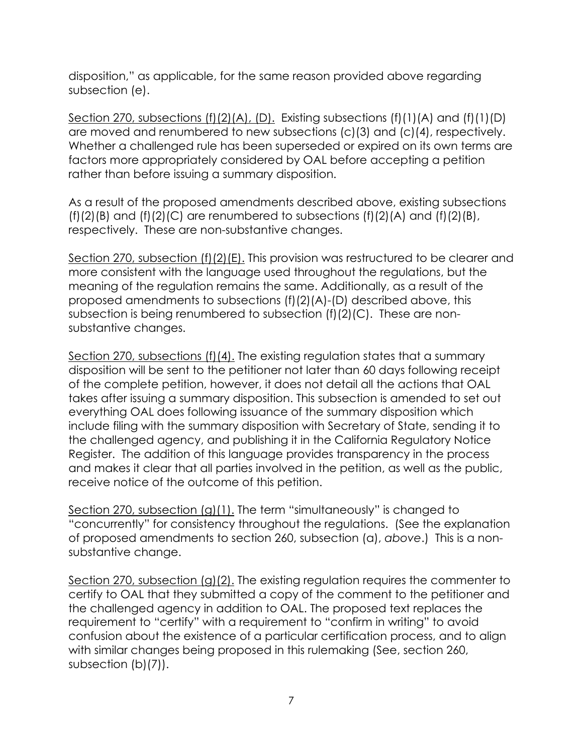disposition," as applicable, for the same reason provided above regarding subsection (e).

Section 270, subsections (f)(2)(A), (D). Existing subsections (f)(1)(A) and (f)(1)(D) are moved and renumbered to new subsections (c)(3) and (c)(4), respectively. Whether a challenged rule has been superseded or expired on its own terms are factors more appropriately considered by OAL before accepting a petition rather than before issuing a summary disposition.

As a result of the proposed amendments described above, existing subsections  $(f)(2)(B)$  and  $(f)(2)(C)$  are renumbered to subsections  $(f)(2)(A)$  and  $(f)(2)(B)$ , respectively. These are non-substantive changes.

Section 270, subsection (f)(2)(E). This provision was restructured to be clearer and more consistent with the language used throughout the regulations, but the meaning of the regulation remains the same. Additionally, as a result of the proposed amendments to subsections (f)(2)(A)-(D) described above, this subsection is being renumbered to subsection (f)(2)(C). These are nonsubstantive changes.

Section 270, subsections (f)(4). The existing regulation states that a summary disposition will be sent to the petitioner not later than 60 days following receipt of the complete petition, however, it does not detail all the actions that OAL takes after issuing a summary disposition. This subsection is amended to set out everything OAL does following issuance of the summary disposition which include filing with the summary disposition with Secretary of State, sending it to the challenged agency, and publishing it in the California Regulatory Notice Register. The addition of this language provides transparency in the process and makes it clear that all parties involved in the petition, as well as the public, receive notice of the outcome of this petition.

Section 270, subsection (g)(1). The term "simultaneously" is changed to "concurrently" for consistency throughout the regulations. (See the explanation of proposed amendments to section 260, subsection (a), *above*.) This is a nonsubstantive change.

Section 270, subsection (g)(2). The existing regulation requires the commenter to certify to OAL that they submitted a copy of the comment to the petitioner and the challenged agency in addition to OAL. The proposed text replaces the requirement to "certify" with a requirement to "confirm in writing" to avoid confusion about the existence of a particular certification process, and to align with similar changes being proposed in this rulemaking (See, section 260, subsection (b)(7)).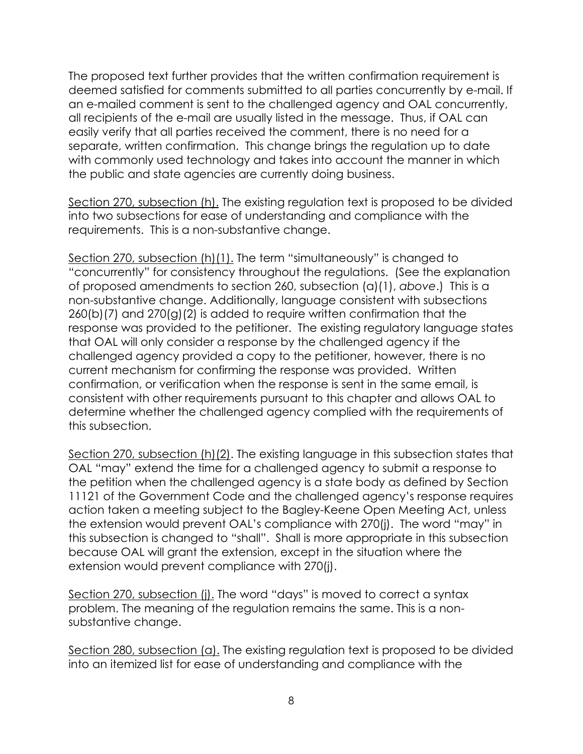The proposed text further provides that the written confirmation requirement is deemed satisfied for comments submitted to all parties concurrently by e-mail. If an e-mailed comment is sent to the challenged agency and OAL concurrently, all recipients of the e-mail are usually listed in the message. Thus, if OAL can easily verify that all parties received the comment, there is no need for a separate, written confirmation. This change brings the regulation up to date with commonly used technology and takes into account the manner in which the public and state agencies are currently doing business.

Section 270, subsection (h). The existing regulation text is proposed to be divided into two subsections for ease of understanding and compliance with the requirements. This is a non-substantive change.

Section 270, subsection (h)(1). The term "simultaneously" is changed to "concurrently" for consistency throughout the regulations. (See the explanation of proposed amendments to section 260, subsection (a)(1), *above*.) This is a non-substantive change. Additionally, language consistent with subsections  $260(b)(7)$  and  $270(g)(2)$  is added to require written confirmation that the response was provided to the petitioner. The existing regulatory language states that OAL will only consider a response by the challenged agency if the challenged agency provided a copy to the petitioner, however, there is no current mechanism for confirming the response was provided. Written confirmation, or verification when the response is sent in the same email, is consistent with other requirements pursuant to this chapter and allows OAL to determine whether the challenged agency complied with the requirements of this subsection.

Section 270, subsection (h)(2). The existing language in this subsection states that OAL "may" extend the time for a challenged agency to submit a response to the petition when the challenged agency is a state body as defined by Section 11121 of the Government Code and the challenged agency's response requires action taken a meeting subject to the Bagley-Keene Open Meeting Act, unless the extension would prevent OAL's compliance with 270(j). The word "may" in this subsection is changed to "shall". Shall is more appropriate in this subsection because OAL will grant the extension, except in the situation where the extension would prevent compliance with 270(j).

Section 270, subsection (j). The word "days" is moved to correct a syntax problem. The meaning of the regulation remains the same. This is a nonsubstantive change.

Section 280, subsection (a). The existing regulation text is proposed to be divided into an itemized list for ease of understanding and compliance with the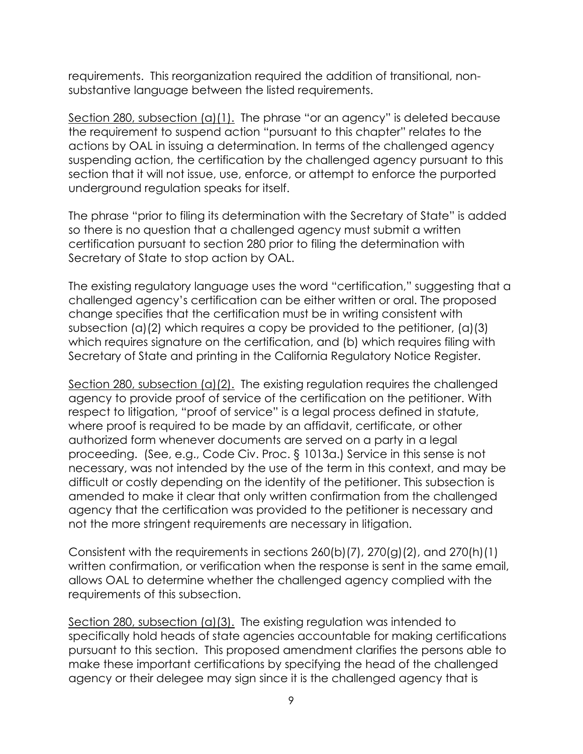requirements. This reorganization required the addition of transitional, nonsubstantive language between the listed requirements.

Section 280, subsection (a)(1). The phrase "or an agency" is deleted because the requirement to suspend action "pursuant to this chapter" relates to the actions by OAL in issuing a determination. In terms of the challenged agency suspending action, the certification by the challenged agency pursuant to this section that it will not issue, use, enforce, or attempt to enforce the purported underground regulation speaks for itself.

The phrase "prior to filing its determination with the Secretary of State" is added so there is no question that a challenged agency must submit a written certification pursuant to section 280 prior to filing the determination with Secretary of State to stop action by OAL.

The existing regulatory language uses the word "certification," suggesting that a challenged agency's certification can be either written or oral. The proposed change specifies that the certification must be in writing consistent with subsection (a)(2) which requires a copy be provided to the petitioner, (a)(3) which requires signature on the certification, and (b) which requires filing with Secretary of State and printing in the California Regulatory Notice Register.

Section 280, subsection (a)(2). The existing regulation requires the challenged agency to provide proof of service of the certification on the petitioner. With respect to litigation, "proof of service" is a legal process defined in statute, where proof is required to be made by an affidavit, certificate, or other authorized form whenever documents are served on a party in a legal proceeding. (See, e.g., Code Civ. Proc. § 1013a.) Service in this sense is not necessary, was not intended by the use of the term in this context, and may be difficult or costly depending on the identity of the petitioner. This subsection is amended to make it clear that only written confirmation from the challenged agency that the certification was provided to the petitioner is necessary and not the more stringent requirements are necessary in litigation.

Consistent with the requirements in sections 260(b)(7), 270(g)(2), and 270(h)(1) written confirmation, or verification when the response is sent in the same email, allows OAL to determine whether the challenged agency complied with the requirements of this subsection.

Section 280, subsection (a)(3). The existing regulation was intended to specifically hold heads of state agencies accountable for making certifications pursuant to this section. This proposed amendment clarifies the persons able to make these important certifications by specifying the head of the challenged agency or their delegee may sign since it is the challenged agency that is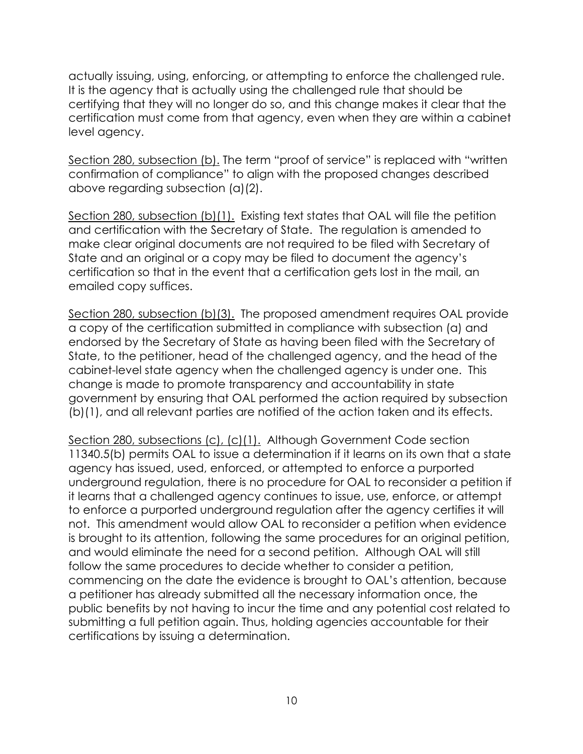actually issuing, using, enforcing, or attempting to enforce the challenged rule. It is the agency that is actually using the challenged rule that should be certifying that they will no longer do so, and this change makes it clear that the certification must come from that agency, even when they are within a cabinet level agency.

Section 280, subsection (b). The term "proof of service" is replaced with "written confirmation of compliance" to align with the proposed changes described above regarding subsection (a)(2).

Section 280, subsection (b)(1). Existing text states that OAL will file the petition and certification with the Secretary of State. The regulation is amended to make clear original documents are not required to be filed with Secretary of State and an original or a copy may be filed to document the agency's certification so that in the event that a certification gets lost in the mail, an emailed copy suffices.

Section 280, subsection (b)(3). The proposed amendment requires OAL provide a copy of the certification submitted in compliance with subsection (a) and endorsed by the Secretary of State as having been filed with the Secretary of State, to the petitioner, head of the challenged agency, and the head of the cabinet-level state agency when the challenged agency is under one. This change is made to promote transparency and accountability in state government by ensuring that OAL performed the action required by subsection (b)(1), and all relevant parties are notified of the action taken and its effects.

Section 280, subsections (c), (c)(1). Although Government Code section 11340.5(b) permits OAL to issue a determination if it learns on its own that a state agency has issued, used, enforced, or attempted to enforce a purported underground regulation, there is no procedure for OAL to reconsider a petition if it learns that a challenged agency continues to issue, use, enforce, or attempt to enforce a purported underground regulation after the agency certifies it will not. This amendment would allow OAL to reconsider a petition when evidence is brought to its attention, following the same procedures for an original petition, and would eliminate the need for a second petition. Although OAL will still follow the same procedures to decide whether to consider a petition, commencing on the date the evidence is brought to OAL's attention, because a petitioner has already submitted all the necessary information once, the public benefits by not having to incur the time and any potential cost related to submitting a full petition again. Thus, holding agencies accountable for their certifications by issuing a determination.